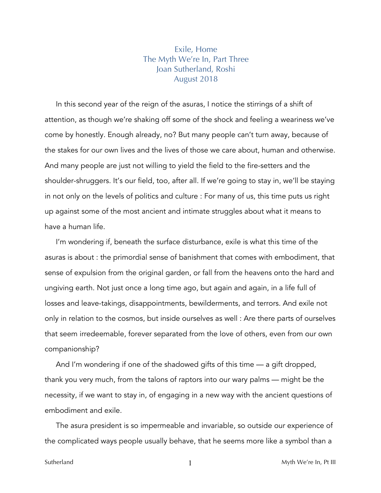## Exile, Home The Myth We're In, Part Three Joan Sutherland, Roshi August 2018

In this second year of the reign of the asuras, I notice the stirrings of a shift of attention, as though we're shaking off some of the shock and feeling a weariness we've come by honestly. Enough already, no? But many people can't turn away, because of the stakes for our own lives and the lives of those we care about, human and otherwise. And many people are just not willing to yield the field to the fire-setters and the shoulder-shruggers. It's our field, too, after all. If we're going to stay in, we'll be staying in not only on the levels of politics and culture : For many of us, this time puts us right up against some of the most ancient and intimate struggles about what it means to have a human life.

I'm wondering if, beneath the surface disturbance, exile is what this time of the asuras is about : the primordial sense of banishment that comes with embodiment, that sense of expulsion from the original garden, or fall from the heavens onto the hard and ungiving earth. Not just once a long time ago, but again and again, in a life full of losses and leave-takings, disappointments, bewilderments, and terrors. And exile not only in relation to the cosmos, but inside ourselves as well : Are there parts of ourselves that seem irredeemable, forever separated from the love of others, even from our own companionship?

And I'm wondering if one of the shadowed gifts of this time — a gift dropped, thank you very much, from the talons of raptors into our wary palms — might be the necessity, if we want to stay in, of engaging in a new way with the ancient questions of embodiment and exile.

The asura president is so impermeable and invariable, so outside our experience of the complicated ways people usually behave, that he seems more like a symbol than a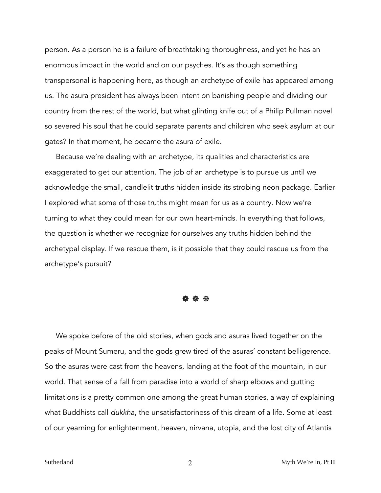person. As a person he is a failure of breathtaking thoroughness, and yet he has an enormous impact in the world and on our psyches. It's as though something transpersonal is happening here, as though an archetype of exile has appeared among us. The asura president has always been intent on banishing people and dividing our country from the rest of the world, but what glinting knife out of a Philip Pullman novel so severed his soul that he could separate parents and children who seek asylum at our gates? In that moment, he became the asura of exile.

Because we're dealing with an archetype, its qualities and characteristics are exaggerated to get our attention. The job of an archetype is to pursue us until we acknowledge the small, candlelit truths hidden inside its strobing neon package. Earlier I explored what some of those truths might mean for us as a country. Now we're turning to what they could mean for our own heart-minds. In everything that follows, the question is whether we recognize for ourselves any truths hidden behind the archetypal display. If we rescue them, is it possible that they could rescue us from the archetype's pursuit?

☸ ☸ ☸

We spoke before of the old stories, when gods and asuras lived together on the peaks of Mount Sumeru, and the gods grew tired of the asuras' constant belligerence. So the asuras were cast from the heavens, landing at the foot of the mountain, in our world. That sense of a fall from paradise into a world of sharp elbows and gutting limitations is a pretty common one among the great human stories, a way of explaining what Buddhists call *dukkha*, the unsatisfactoriness of this dream of a life. Some at least of our yearning for enlightenment, heaven, nirvana, utopia, and the lost city of Atlantis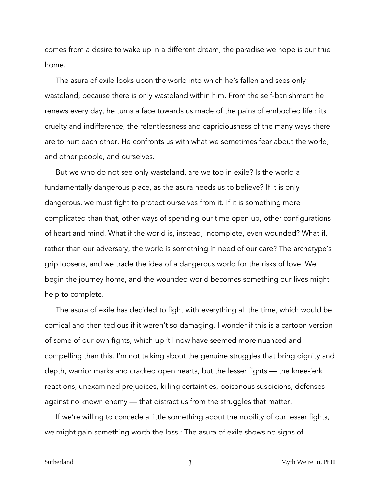comes from a desire to wake up in a different dream, the paradise we hope is our true home.

The asura of exile looks upon the world into which he's fallen and sees only wasteland, because there is only wasteland within him. From the self-banishment he renews every day, he turns a face towards us made of the pains of embodied life : its cruelty and indifference, the relentlessness and capriciousness of the many ways there are to hurt each other. He confronts us with what we sometimes fear about the world, and other people, and ourselves.

But we who do not see only wasteland, are we too in exile? Is the world a fundamentally dangerous place, as the asura needs us to believe? If it is only dangerous, we must fight to protect ourselves from it. If it is something more complicated than that, other ways of spending our time open up, other configurations of heart and mind. What if the world is, instead, incomplete, even wounded? What if, rather than our adversary, the world is something in need of our care? The archetype's grip loosens, and we trade the idea of a dangerous world for the risks of love. We begin the journey home, and the wounded world becomes something our lives might help to complete.

The asura of exile has decided to fight with everything all the time, which would be comical and then tedious if it weren't so damaging. I wonder if this is a cartoon version of some of our own fights, which up 'til now have seemed more nuanced and compelling than this. I'm not talking about the genuine struggles that bring dignity and depth, warrior marks and cracked open hearts, but the lesser fights — the knee-jerk reactions, unexamined prejudices, killing certainties, poisonous suspicions, defenses against no known enemy — that distract us from the struggles that matter.

If we're willing to concede a little something about the nobility of our lesser fights, we might gain something worth the loss : The asura of exile shows no signs of

Sutherland 3 Myth We're In, Pt III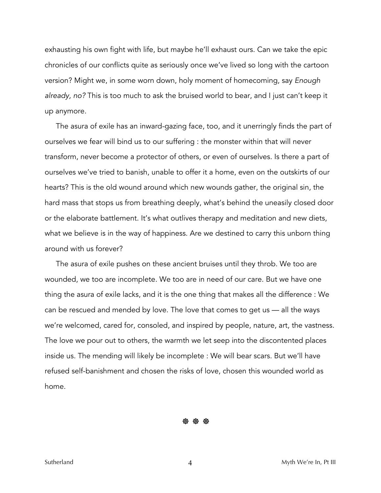exhausting his own fight with life, but maybe he'll exhaust ours. Can we take the epic chronicles of our conflicts quite as seriously once we've lived so long with the cartoon version? Might we, in some worn down, holy moment of homecoming, say *Enough already, no?* This is too much to ask the bruised world to bear, and I just can't keep it up anymore.

The asura of exile has an inward-gazing face, too, and it unerringly finds the part of ourselves we fear will bind us to our suffering : the monster within that will never transform, never become a protector of others, or even of ourselves. Is there a part of ourselves we've tried to banish, unable to offer it a home, even on the outskirts of our hearts? This is the old wound around which new wounds gather, the original sin, the hard mass that stops us from breathing deeply, what's behind the uneasily closed door or the elaborate battlement. It's what outlives therapy and meditation and new diets, what we believe is in the way of happiness. Are we destined to carry this unborn thing around with us forever?

The asura of exile pushes on these ancient bruises until they throb. We too are wounded, we too are incomplete. We too are in need of our care. But we have one thing the asura of exile lacks, and it is the one thing that makes all the difference : We can be rescued and mended by love. The love that comes to get us — all the ways we're welcomed, cared for, consoled, and inspired by people, nature, art, the vastness. The love we pour out to others, the warmth we let seep into the discontented places inside us. The mending will likely be incomplete : We will bear scars. But we'll have refused self-banishment and chosen the risks of love, chosen this wounded world as home.

☸ ☸ ☸

Sutherland and the state of the state of the state of the Myth We're In, Pt III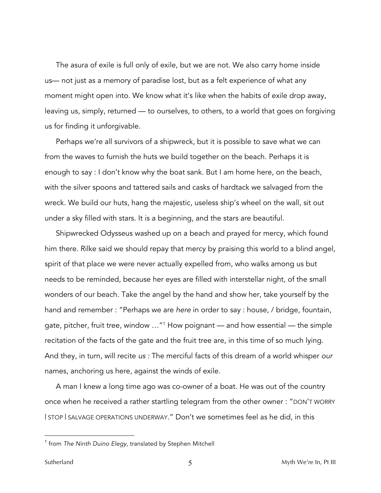The asura of exile is full only of exile, but we are not. We also carry home inside us— not just as a memory of paradise lost, but as a felt experience of what any moment might open into. We know what it's like when the habits of exile drop away, leaving us, simply, returned — to ourselves, to others, to a world that goes on forgiving us for finding it unforgivable.

Perhaps we're all survivors of a shipwreck, but it is possible to save what we can from the waves to furnish the huts we build together on the beach. Perhaps it is enough to say : I don't know why the boat sank. But I am home here, on the beach, with the silver spoons and tattered sails and casks of hardtack we salvaged from the wreck. We build our huts, hang the majestic, useless ship's wheel on the wall, sit out under a sky filled with stars. It is a beginning, and the stars are beautiful.

Shipwrecked Odysseus washed up on a beach and prayed for mercy, which found him there. Rilke said we should repay that mercy by praising this world to a blind angel, spirit of that place we were never actually expelled from, who walks among us but needs to be reminded, because her eyes are filled with interstellar night, of the small wonders of our beach. Take the angel by the hand and show her, take yourself by the hand and remember : "Perhaps we are *here* in order to say : house, / bridge, fountain, gate, pitcher, fruit tree, window …"1 How poignant — and how essential — the simple recitation of the facts of the gate and the fruit tree are, in this time of so much lying. And they, in turn, will recite *us :* The merciful facts of this dream of a world whisper *our* names, anchoring us here, against the winds of exile.

A man I knew a long time ago was co-owner of a boat. He was out of the country once when he received a rather startling telegram from the other owner : "DON'T WORRY | STOP | SALVAGE OPERATIONS UNDERWAY." Don't we sometimes feel as he did, in this

 $\overline{a}$ 

<sup>1</sup> from *The Ninth Duino Elegy*, translated by Stephen Mitchell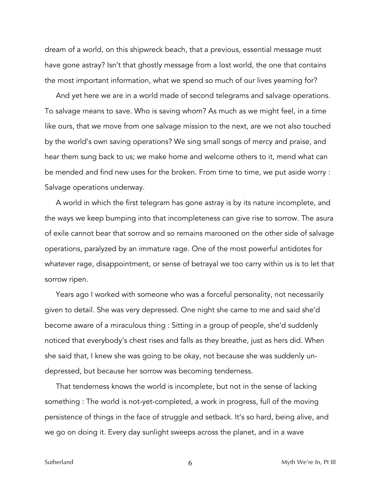dream of a world, on this shipwreck beach, that a previous, essential message must have gone astray? Isn't that ghostly message from a lost world, the one that contains the most important information, what we spend so much of our lives yearning for?

And yet here we are in a world made of second telegrams and salvage operations. To salvage means to save. Who is saving whom? As much as we might feel, in a time like ours, that we move from one salvage mission to the next, are we not also touched by the world's own saving operations? We sing small songs of mercy and praise, and hear them sung back to us; we make home and welcome others to it, mend what can be mended and find new uses for the broken. From time to time, we put aside worry : Salvage operations underway.

A world in which the first telegram has gone astray is by its nature incomplete, and the ways we keep bumping into that incompleteness can give rise to sorrow. The asura of exile cannot bear that sorrow and so remains marooned on the other side of salvage operations, paralyzed by an immature rage. One of the most powerful antidotes for whatever rage, disappointment, or sense of betrayal we too carry within us is to let that sorrow ripen.

Years ago I worked with someone who was a forceful personality, not necessarily given to detail. She was very depressed. One night she came to me and said she'd become aware of a miraculous thing : Sitting in a group of people, she'd suddenly noticed that everybody's chest rises and falls as they breathe, just as hers did. When she said that, I knew she was going to be okay, not because she was suddenly undepressed, but because her sorrow was becoming tenderness.

That tenderness knows the world is incomplete, but not in the sense of lacking something : The world is not-yet-completed, a work in progress, full of the moving persistence of things in the face of struggle and setback. It's so hard, being alive, and we go on doing it. Every day sunlight sweeps across the planet, and in a wave

Sutherland 6 Myth We're In, Pt III